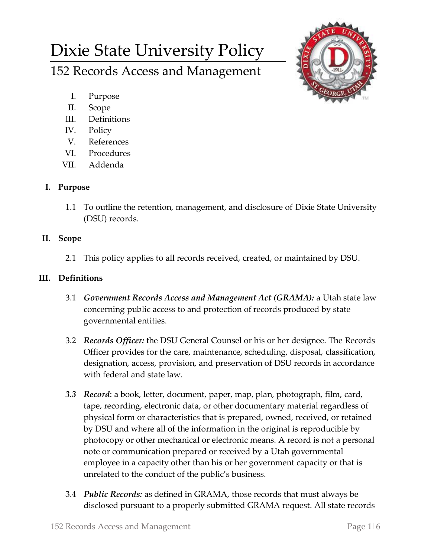# Dixie State University Policy

152 Records Access and Management

- I. Purpose
- II. Scope
- III. Definitions
- IV. Policy
- V. References
- VI. Procedures
- VII. Addenda

# **I. Purpose**

1.1 To outline the retention, management, and disclosure of Dixie State University (DSU) records.

# **II. Scope**

2.1 This policy applies to all records received, created, or maintained by DSU.

## **III. Definitions**

- 3.1 *Government Records Access and Management Act (GRAMA):* a Utah state law concerning public access to and protection of records produced by state governmental entities.
- 3.2 *Records Officer:* the DSU General Counsel or his or her designee. The Records Officer provides for the care, maintenance, scheduling, disposal, classification, designation, access, provision, and preservation of DSU records in accordance with federal and state law.
- *3.3 Record*: a book, letter, document, paper, map, plan, photograph, film, card, tape, recording, electronic data, or other documentary material regardless of physical form or characteristics that is prepared, owned, received, or retained by DSU and where all of the information in the original is reproducible by photocopy or other mechanical or electronic means. A record is not a personal note or communication prepared or received by a Utah governmental employee in a capacity other than his or her government capacity or that is unrelated to the conduct of the public's business.
- 3.4 *Public Records:* as defined in GRAMA, those records that must always be disclosed pursuant to a properly submitted GRAMA request. All state records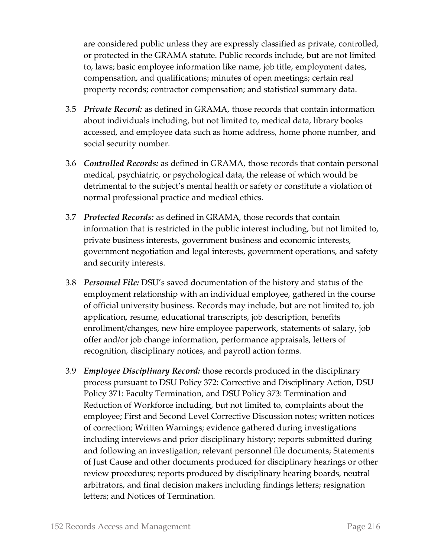are considered public unless they are expressly classified as private, controlled, or protected in the GRAMA statute. Public records include, but are not limited to, laws; basic employee information like name, job title, employment dates, compensation, and qualifications; minutes of open meetings; certain real property records; contractor compensation; and statistical summary data.

- 3.5 *Private Record:* as defined in GRAMA, those records that contain information about individuals including, but not limited to, medical data, library books accessed, and employee data such as home address, home phone number, and social security number.
- 3.6 *Controlled Records:* as defined in GRAMA, those records that contain personal medical, psychiatric, or psychological data, the release of which would be detrimental to the subject's mental health or safety or constitute a violation of normal professional practice and medical ethics.
- 3.7 *Protected Records:* as defined in GRAMA, those records that contain information that is restricted in the public interest including, but not limited to, private business interests, government business and economic interests, government negotiation and legal interests, government operations, and safety and security interests.
- 3.8 *Personnel File:* DSU's saved documentation of the history and status of the employment relationship with an individual employee, gathered in the course of official university business. Records may include, but are not limited to, job application, resume, educational transcripts, job description, benefits enrollment/changes, new hire employee paperwork, statements of salary, job offer and/or job change information, performance appraisals, letters of recognition, disciplinary notices, and payroll action forms.
- 3.9 *Employee Disciplinary Record:* those records produced in the disciplinary process pursuant to DSU Policy 372: Corrective and Disciplinary Action, DSU Policy 371: Faculty Termination, and DSU Policy 373: Termination and Reduction of Workforce including, but not limited to, complaints about the employee; First and Second Level Corrective Discussion notes; written notices of correction; Written Warnings; evidence gathered during investigations including interviews and prior disciplinary history; reports submitted during and following an investigation; relevant personnel file documents; Statements of Just Cause and other documents produced for disciplinary hearings or other review procedures; reports produced by disciplinary hearing boards, neutral arbitrators, and final decision makers including findings letters; resignation letters; and Notices of Termination.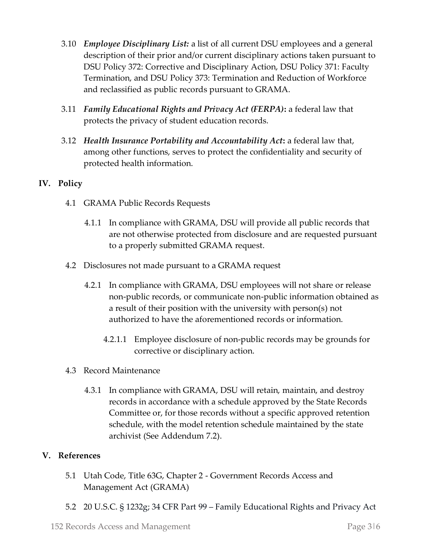- 3.10 *Employee Disciplinary List:* a list of all current DSU employees and a general description of their prior and/or current disciplinary actions taken pursuant to DSU Policy 372: Corrective and Disciplinary Action, DSU Policy 371: Faculty Termination, and DSU Policy 373: Termination and Reduction of Workforce and reclassified as public records pursuant to GRAMA.
- 3.11 *Family Educational Rights and Privacy Act (FERPA)***:** a federal law that protects the privacy of student education records.
- 3.12 *Health Insurance Portability and Accountability Act***:** a federal law that, among other functions, serves to protect the confidentiality and security of protected health information.

## **IV. Policy**

- 4.1 GRAMA Public Records Requests
	- 4.1.1 In compliance with GRAMA, DSU will provide all public records that are not otherwise protected from disclosure and are requested pursuant to a properly submitted GRAMA request.
- 4.2 Disclosures not made pursuant to a GRAMA request
	- 4.2.1 In compliance with GRAMA, DSU employees will not share or release non-public records, or communicate non-public information obtained as a result of their position with the university with person(s) not authorized to have the aforementioned records or information.
		- 4.2.1.1 Employee disclosure of non-public records may be grounds for corrective or disciplinary action.
- 4.3 Record Maintenance
	- 4.3.1 In compliance with GRAMA, DSU will retain, maintain, and destroy records in accordance with a schedule approved by the State Records Committee or, for those records without a specific approved retention schedule, with the model retention schedule maintained by the state archivist (See Addendum 7.2).

## **V. References**

- 5.1 Utah Code, Title 63G, Chapter 2 Government Records Access and Management Act (GRAMA)
- 5.2 20 U.S.C. § 1232g; 34 CFR Part 99 Family Educational Rights and Privacy Act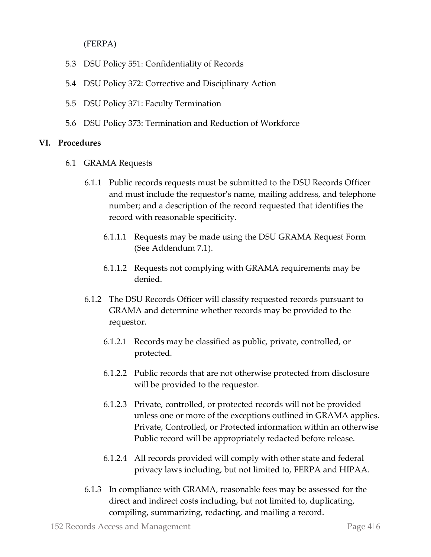(FERPA)

- 5.3 DSU Policy 551: Confidentiality of Records
- 5.4 DSU Policy 372: Corrective and Disciplinary Action
- 5.5 DSU Policy 371: Faculty Termination
- 5.6 DSU Policy 373: Termination and Reduction of Workforce

## **VI. Procedures**

- 6.1 GRAMA Requests
	- 6.1.1 Public records requests must be submitted to the DSU Records Officer and must include the requestor's name, mailing address, and telephone number; and a description of the record requested that identifies the record with reasonable specificity.
		- 6.1.1.1 Requests may be made using the DSU GRAMA Request Form (See Addendum 7.1).
		- 6.1.1.2 Requests not complying with GRAMA requirements may be denied.
	- 6.1.2 The DSU Records Officer will classify requested records pursuant to GRAMA and determine whether records may be provided to the requestor.
		- 6.1.2.1 Records may be classified as public, private, controlled, or protected.
		- 6.1.2.2 Public records that are not otherwise protected from disclosure will be provided to the requestor.
		- 6.1.2.3 Private, controlled, or protected records will not be provided unless one or more of the exceptions outlined in GRAMA applies. Private, Controlled, or Protected information within an otherwise Public record will be appropriately redacted before release.
		- 6.1.2.4 All records provided will comply with other state and federal privacy laws including, but not limited to, FERPA and HIPAA.
	- 6.1.3 In compliance with GRAMA, reasonable fees may be assessed for the direct and indirect costs including, but not limited to, duplicating, compiling, summarizing, redacting, and mailing a record.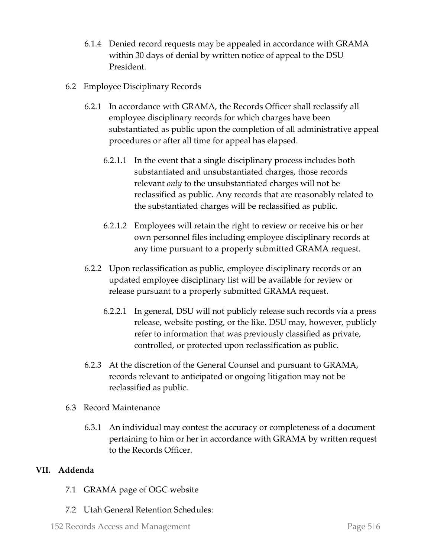- 6.1.4 Denied record requests may be appealed in accordance with GRAMA within 30 days of denial by written notice of appeal to the DSU President.
- 6.2 Employee Disciplinary Records
	- 6.2.1 In accordance with GRAMA, the Records Officer shall reclassify all employee disciplinary records for which charges have been substantiated as public upon the completion of all administrative appeal procedures or after all time for appeal has elapsed.
		- 6.2.1.1 In the event that a single disciplinary process includes both substantiated and unsubstantiated charges, those records relevant *only* to the unsubstantiated charges will not be reclassified as public. Any records that are reasonably related to the substantiated charges will be reclassified as public.
		- 6.2.1.2 Employees will retain the right to review or receive his or her own personnel files including employee disciplinary records at any time pursuant to a properly submitted GRAMA request.
	- 6.2.2 Upon reclassification as public, employee disciplinary records or an updated employee disciplinary list will be available for review or release pursuant to a properly submitted GRAMA request.
		- 6.2.2.1 In general, DSU will not publicly release such records via a press release, website posting, or the like. DSU may, however, publicly refer to information that was previously classified as private, controlled, or protected upon reclassification as public.
	- 6.2.3 At the discretion of the General Counsel and pursuant to GRAMA, records relevant to anticipated or ongoing litigation may not be reclassified as public.
- 6.3 Record Maintenance
	- 6.3.1 An individual may contest the accuracy or completeness of a document pertaining to him or her in accordance with GRAMA by written request to the Records Officer.

## **VII. Addenda**

- 7.1 GRAMA page of OGC website
- 7.2 Utah General Retention Schedules: